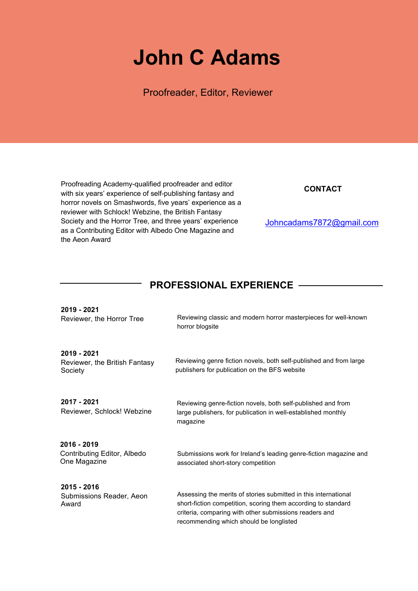# **John C Adams**

Proofreader, Editor, Reviewer

Proofreading Academy-qualified proofreader and editor with six years' experience of self-publishing fantasy and horror novels on Smashwords, five years' experience as a reviewer with Schlock! Webzine, the British Fantasy Society and the Horror Tree, and three years' experience as a Contributing Editor with Albedo One Magazine and the Aeon Award

### **CONTACT**

Johncadams7872@gmail.com

## **PROFESSIONAL EXPERIENCE**

| 2019 - 2021<br>Reviewer, the Horror Tree                     | Reviewing classic and modern horror masterpieces for well-known<br>horror blogsite                                                                                                                                                    |
|--------------------------------------------------------------|---------------------------------------------------------------------------------------------------------------------------------------------------------------------------------------------------------------------------------------|
| 2019 - 2021<br>Reviewer, the British Fantasy<br>Society      | Reviewing genre fiction novels, both self-published and from large<br>publishers for publication on the BFS website                                                                                                                   |
| 2017 - 2021<br>Reviewer, Schlock! Webzine                    | Reviewing genre-fiction novels, both self-published and from<br>large publishers, for publication in well-established monthly<br>magazine                                                                                             |
| $2016 - 2019$<br>Contributing Editor, Albedo<br>One Magazine | Submissions work for Ireland's leading genre-fiction magazine and<br>associated short-story competition                                                                                                                               |
| 2015 - 2016<br>Submissions Reader, Aeon<br>Award             | Assessing the merits of stories submitted in this international<br>short-fiction competition, scoring them according to standard<br>criteria, comparing with other submissions readers and<br>recommending which should be longlisted |